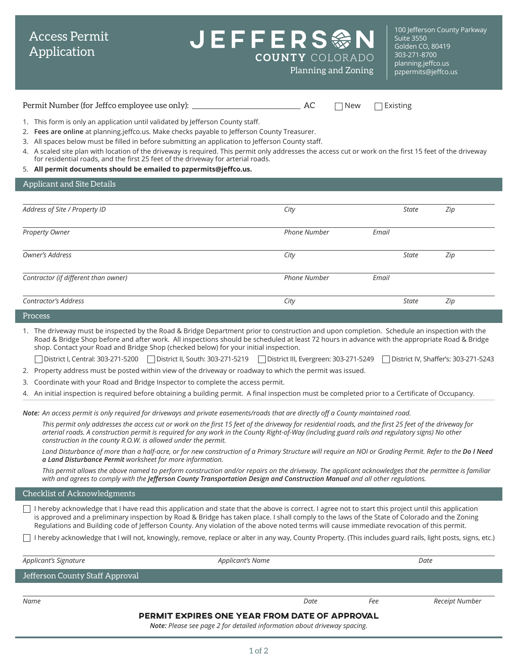## **COUNTY COLORADO**

100 Jefferson County Parkway Suite 3550 Golden CO, 80419 303-271-8700 [planning.jeffco.us](http://planning.jeffco.us) Planning and Zoning premiss provided propermits@jeffco.us

Permit Number (for Jeffco employee use only): AC New Existing

- 1. This form is only an application until validated by Jefferson County staff.
- 2. **[Fees are online](https://www.jeffco.us/2920/Fees)** at planning.jeffco.us. Make checks payable to Jefferson County Treasurer.
- 3. All spaces below must be filled in before submitting an application to Jefferson County staff.
- 4. A scaled site plan with location of the driveway is required. This permit only addresses the access cut or work on the first 15 feet of the driveway for residential roads, and the first 25 feet of the driveway for arterial roads.
- 5. **All permit documents should be emailed to [pzpermits@jeffco.us.](mailto:pzpermits%40jeffco.us?subject=)**

| Applicant and Site Details |
|----------------------------|
|                            |

Access Permit Application

| Address of Site / Property ID        | City                |       | <b>State</b> | Zip |
|--------------------------------------|---------------------|-------|--------------|-----|
| Property Owner                       | <b>Phone Number</b> | Email |              |     |
| Owner's Address                      | City                |       | <b>State</b> | Zip |
| Contractor (if different than owner) | <b>Phone Number</b> | Email |              |     |
| <b>Contractor's Address</b>          | City                |       | <b>State</b> | Zip |
| Process                              |                     |       |              |     |

1. The driveway must be inspected by the Road & Bridge Department prior to construction and upon completion. Schedule an inspection with the Road & Bridge Shop before and after work. All inspections should be scheduled at least 72 hours in advance with the appropriate Road & Bridge shop. Contact your Road and Bridge Shop (checked below) for your initial inspection.

- District I, Central: 303-271-5200 District II, South: 303-271-5219 District III, Evergreen: 303-271-5249 District IV, Shaffer's: 303-271-5243
- 2. Property address must be posted within view of the driveway or roadway to which the permit was issued.
- 3. Coordinate with your Road and Bridge Inspector to complete the access permit.
- 4. An initial inspection is required before obtaining a building permit. A final inspection must be completed prior to a Certificate of Occupancy.

*Note: An access permit is only required for driveways and private easements/roads that are directly off a County maintained road.* 

This permit only addresses the access cut or work on the first 15 feet of the driveway for residential roads, and the first 25 feet of the driveway for *arterial roads. A construction permit is required for any work in the County Right-of-Way (including guard rails and regulatory signs) No other construction in the county R.O.W. is allowed under the permit.*

Land Disturbance of more than a half-acre, or for new construction of a Primary Structure will require an NOI or Grading Permit. Refer to the Do I Need *[a Land Disturbance Permit](https://www.jeffco.us/DocumentCenter/View/10314/) worksheet for more information.*

*This permit allows the above named to perform construction and/or repairs on the driveway. The applicant acknowledges that the permittee is familiar*  with and agrees to comply with the *[Jefferson County Transportation Design and Construction Manual](https://www.jeffco.us/2632/) and all other regulations.* 

Checklist of Acknowledgments

 $\Box$  I hereby acknowledge that I have read this application and state that the above is correct. I agree not to start this project until this application is approved and a preliminary inspection by Road & Bridge has taken place. I shall comply to the laws of the State of Colorado and the Zoning Regulations and Building code of Jefferson County. Any violation of the above noted terms will cause immediate revocation of this permit.

I hereby acknowledge that I will not, knowingly, remove, replace or alter in any way, County Property. (This includes guard rails, light posts, signs, etc.)

| Applicant's Signature<br>Applicant's Name            |      |     | Date           |  |  |  |  |  |
|------------------------------------------------------|------|-----|----------------|--|--|--|--|--|
| Jefferson County Staff Approval                      |      |     |                |  |  |  |  |  |
|                                                      |      |     |                |  |  |  |  |  |
| Name                                                 | Date | Fee | Receipt Number |  |  |  |  |  |
| <b>PERMIT EXPIRES ONE YEAR FROM DATE OF APPROVAL</b> |      |     |                |  |  |  |  |  |

*Note: Please see page 2 for detailed information about driveway spacing.*